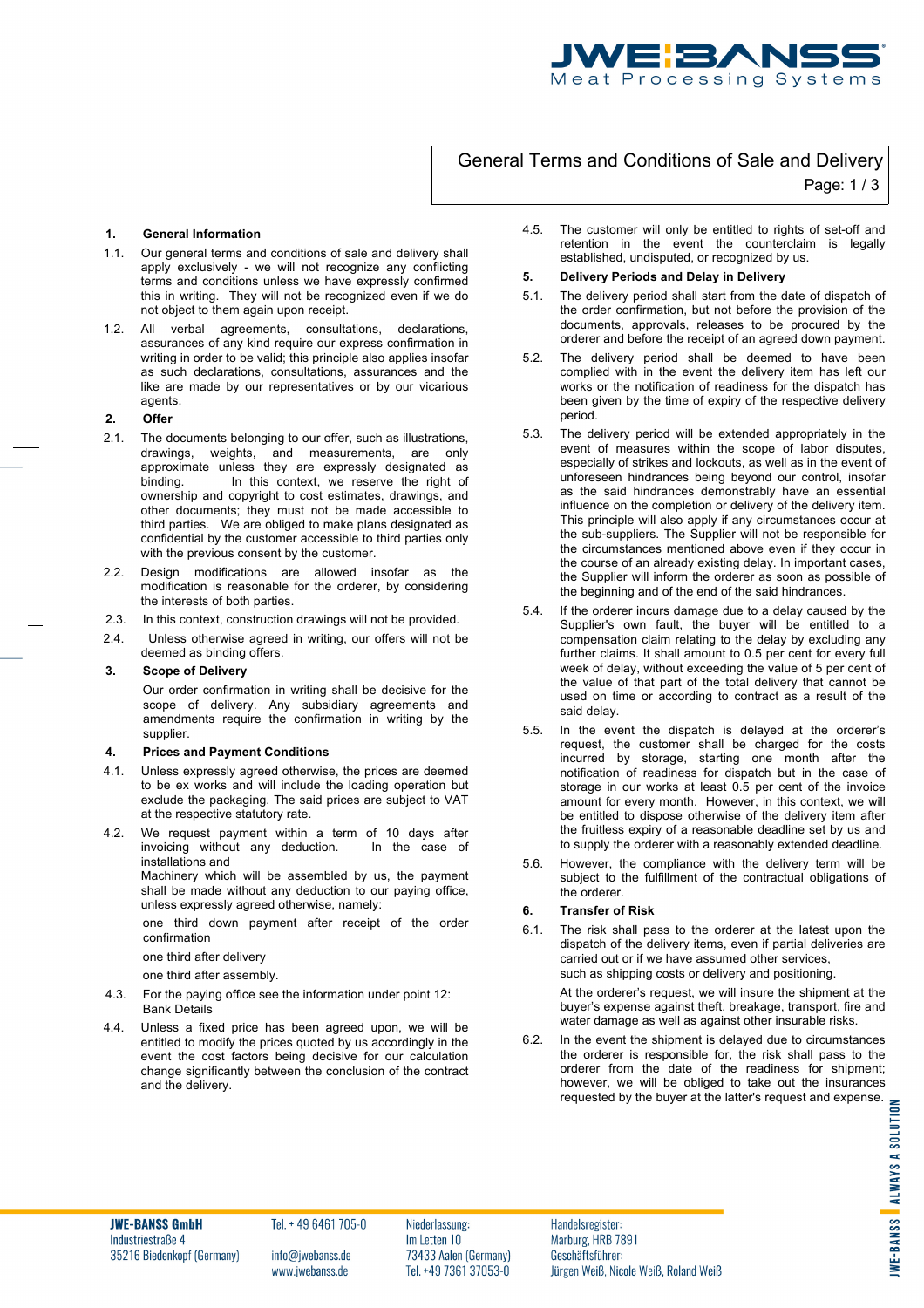

# General Terms and Conditions of Sale and Delivery Page: 1 / 3

#### **1. General Information**

- 1.1. Our general terms and conditions of sale and delivery shall apply exclusively - we will not recognize any conflicting terms and conditions unless we have expressly confirmed this in writing. They will not be recognized even if we do not object to them again upon receipt.
- 1.2. All verbal agreements, consultations, declarations, assurances of any kind require our express confirmation in writing in order to be valid; this principle also applies insofar as such declarations, consultations, assurances and the like are made by our representatives or by our vicarious agents.
- **2. Offer**
- 2.1. The documents belonging to our offer, such as illustrations, drawings, weights, and measurements, are only approximate unless they are expressly designated as binding. In this context, we reserve the right of ownership and copyright to cost estimates, drawings, and other documents; they must not be made accessible to third parties. We are obliged to make plans designated as confidential by the customer accessible to third parties only with the previous consent by the customer.
- 2.2. Design modifications are allowed insofar as the modification is reasonable for the orderer, by considering the interests of both parties.
- 2.3. In this context, construction drawings will not be provided.
- 2.4. Unless otherwise agreed in writing, our offers will not be deemed as binding offers.

## **3. Scope of Delivery**

Our order confirmation in writing shall be decisive for the scope of delivery. Any subsidiary agreements and amendments require the confirmation in writing by the supplier.

#### **4. Prices and Payment Conditions**

- 4.1. Unless expressly agreed otherwise, the prices are deemed to be ex works and will include the loading operation but exclude the packaging. The said prices are subject to VAT at the respective statutory rate.
- 4.2. We request payment within a term of 10 days after<br>invoicing without any deduction in the case of invoicing without any deduction. installations and

Machinery which will be assembled by us, the payment shall be made without any deduction to our paying office, unless expressly agreed otherwise, namely:

one third down payment after receipt of the order confirmation

one third after delivery

one third after assembly.

- 4.3. For the paying office see the information under point 12: Bank Details
- 4.4. Unless a fixed price has been agreed upon, we will be entitled to modify the prices quoted by us accordingly in the event the cost factors being decisive for our calculation change significantly between the conclusion of the contract and the delivery.

4.5. The customer will only be entitled to rights of set-off and retention in the event the counterclaim is legally established, undisputed, or recognized by us.

## **5. Delivery Periods and Delay in Delivery**

- 5.1. The delivery period shall start from the date of dispatch of the order confirmation, but not before the provision of the documents, approvals, releases to be procured by the orderer and before the receipt of an agreed down payment.
- 5.2. The delivery period shall be deemed to have been complied with in the event the delivery item has left our works or the notification of readiness for the dispatch has been given by the time of expiry of the respective delivery period.
- 5.3. The delivery period will be extended appropriately in the event of measures within the scope of labor disputes, especially of strikes and lockouts, as well as in the event of unforeseen hindrances being beyond our control, insofar as the said hindrances demonstrably have an essential influence on the completion or delivery of the delivery item. This principle will also apply if any circumstances occur at the sub-suppliers. The Supplier will not be responsible for the circumstances mentioned above even if they occur in the course of an already existing delay. In important cases, the Supplier will inform the orderer as soon as possible of the beginning and of the end of the said hindrances.
- 5.4. If the orderer incurs damage due to a delay caused by the Supplier's own fault, the buyer will be entitled to a compensation claim relating to the delay by excluding any further claims. It shall amount to 0.5 per cent for every full week of delay, without exceeding the value of 5 per cent of the value of that part of the total delivery that cannot be used on time or according to contract as a result of the said delay.
- 5.5. In the event the dispatch is delayed at the orderer's request, the customer shall be charged for the costs incurred by storage, starting one month after the notification of readiness for dispatch but in the case of storage in our works at least 0.5 per cent of the invoice amount for every month. However, in this context, we will be entitled to dispose otherwise of the delivery item after the fruitless expiry of a reasonable deadline set by us and to supply the orderer with a reasonably extended deadline.
- 5.6. However, the compliance with the delivery term will be subject to the fulfillment of the contractual obligations of the orderer.

### **6. Transfer of Risk**

6.1. The risk shall pass to the orderer at the latest upon the dispatch of the delivery items, even if partial deliveries are carried out or if we have assumed other services, such as shipping costs or delivery and positioning.

> At the orderer's request, we will insure the shipment at the buyer's expense against theft, breakage, transport, fire and water damage as well as against other insurable risks.

6.2. In the event the shipment is delayed due to circumstances the orderer is responsible for, the risk shall pass to the orderer from the date of the readiness for shipment; however, we will be obliged to take out the insurances however, we will be obliged to take out the insurances requested by the buyer at the latter's request and expense.

**JWE-BANSS GmbH** Industriestraße 4 35216 Biedenkopf (Germany) Tel. + 49 6461 705-0

Niederlassung: Im Letten 10

Handelsregister: Marburg, HRB 7891  $170\omega$ jwedanss.de $13433$  Aaien (Germany)  $-$ Geschaftsfuhrer: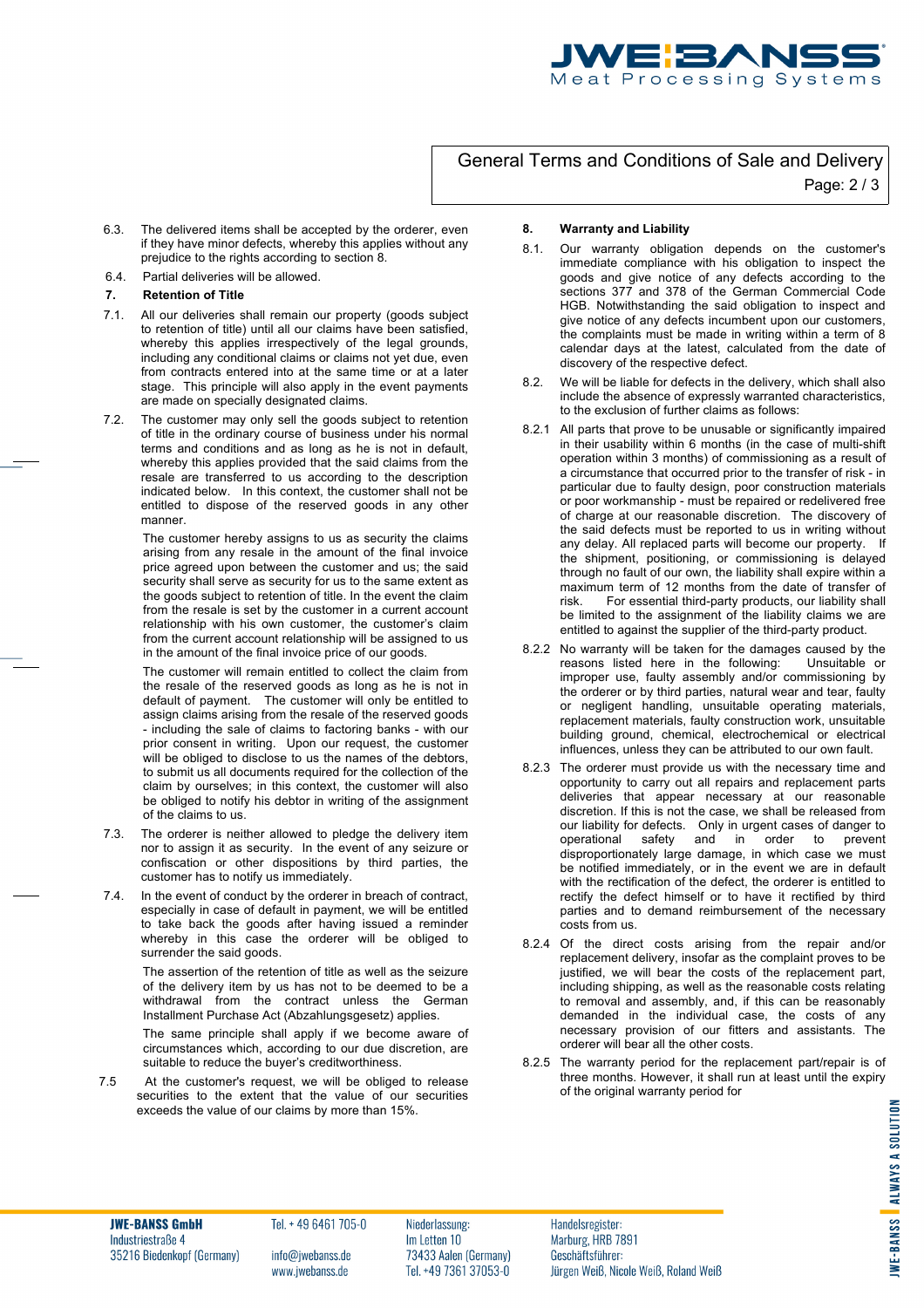

# General Terms and Conditions of Sale and Delivery Page: 2 / 3

- 6.3. The delivered items shall be accepted by the orderer, even if they have minor defects, whereby this applies without any prejudice to the rights according to section 8.
- 6.4. Partial deliveries will be allowed.

### **7. Retention of Title**

- 7.1. All our deliveries shall remain our property (goods subject to retention of title) until all our claims have been satisfied, whereby this applies irrespectively of the legal grounds, including any conditional claims or claims not yet due, even from contracts entered into at the same time or at a later stage. This principle will also apply in the event payments are made on specially designated claims.
- 7.2. The customer may only sell the goods subject to retention of title in the ordinary course of business under his normal terms and conditions and as long as he is not in default, whereby this applies provided that the said claims from the resale are transferred to us according to the description indicated below. In this context, the customer shall not be entitled to dispose of the reserved goods in any other manner.

The customer hereby assigns to us as security the claims arising from any resale in the amount of the final invoice price agreed upon between the customer and us; the said security shall serve as security for us to the same extent as the goods subject to retention of title. In the event the claim from the resale is set by the customer in a current account relationship with his own customer, the customer's claim from the current account relationship will be assigned to us in the amount of the final invoice price of our goods.

The customer will remain entitled to collect the claim from the resale of the reserved goods as long as he is not in default of payment. The customer will only be entitled to assign claims arising from the resale of the reserved goods - including the sale of claims to factoring banks - with our prior consent in writing. Upon our request, the customer will be obliged to disclose to us the names of the debtors, to submit us all documents required for the collection of the claim by ourselves; in this context, the customer will also be obliged to notify his debtor in writing of the assignment of the claims to us.

- 7.3. The orderer is neither allowed to pledge the delivery item nor to assign it as security. In the event of any seizure or confiscation or other dispositions by third parties, the customer has to notify us immediately.
- 7.4. In the event of conduct by the orderer in breach of contract, especially in case of default in payment, we will be entitled to take back the goods after having issued a reminder whereby in this case the orderer will be obliged to surrender the said goods.

The assertion of the retention of title as well as the seizure of the delivery item by us has not to be deemed to be a withdrawal from the contract unless the German Installment Purchase Act (Abzahlungsgesetz) applies.

The same principle shall apply if we become aware of circumstances which, according to our due discretion, are suitable to reduce the buyer's creditworthiness.

7.5 At the customer's request, we will be obliged to release securities to the extent that the value of our securities exceeds the value of our claims by more than 15%.

### **8. Warranty and Liability**

- 8.1. Our warranty obligation depends on the customer's immediate compliance with his obligation to inspect the goods and give notice of any defects according to the sections 377 and 378 of the German Commercial Code HGB. Notwithstanding the said obligation to inspect and give notice of any defects incumbent upon our customers, the complaints must be made in writing within a term of 8 calendar days at the latest, calculated from the date of discovery of the respective defect.
- 8.2. We will be liable for defects in the delivery, which shall also include the absence of expressly warranted characteristics, to the exclusion of further claims as follows:
- 8.2.1 All parts that prove to be unusable or significantly impaired in their usability within 6 months (in the case of multi-shift operation within 3 months) of commissioning as a result of a circumstance that occurred prior to the transfer of risk - in particular due to faulty design, poor construction materials or poor workmanship - must be repaired or redelivered free of charge at our reasonable discretion. The discovery of the said defects must be reported to us in writing without any delay. All replaced parts will become our property. If the shipment, positioning, or commissioning is delayed through no fault of our own, the liability shall expire within a maximum term of 12 months from the date of transfer of risk. For essential third-party products, our liability shall be limited to the assignment of the liability claims we are entitled to against the supplier of the third-party product.
- 8.2.2 No warranty will be taken for the damages caused by the reasons listed here in the following: Unsuitable or reasons listed here in the following: improper use, faulty assembly and/or commissioning by the orderer or by third parties, natural wear and tear, faulty or negligent handling, unsuitable operating materials, replacement materials, faulty construction work, unsuitable building ground, chemical, electrochemical or electrical influences, unless they can be attributed to our own fault.
- 8.2.3 The orderer must provide us with the necessary time and opportunity to carry out all repairs and replacement parts deliveries that appear necessary at our reasonable discretion. If this is not the case, we shall be released from our liability for defects. Only in urgent cases of danger to operational safety and in order to prevent and in order to prevent disproportionately large damage, in which case we must be notified immediately, or in the event we are in default with the rectification of the defect, the orderer is entitled to rectify the defect himself or to have it rectified by third parties and to demand reimbursement of the necessary .<br>costs from us.
- 8.2.4 Of the direct costs arising from the repair and/or replacement delivery, insofar as the complaint proves to be justified, we will bear the costs of the replacement part, including shipping, as well as the reasonable costs relating to removal and assembly, and, if this can be reasonably demanded in the individual case, the costs of any necessary provision of our fitters and assistants. The orderer will bear all the other costs.
- 8.2.5 The warranty period for the replacement part/repair is of three months. However, it shall run at least until the expiry of the original warranty period for

**JWE-BANSS GmbH** Industriestraße 4 35216 Biedenkopf (Germany) Tel. + 49 6461 705-0

Niederlassung: Im Letten 10

Handelsregister: Marburg, HRB 7891 705-115 37053-99